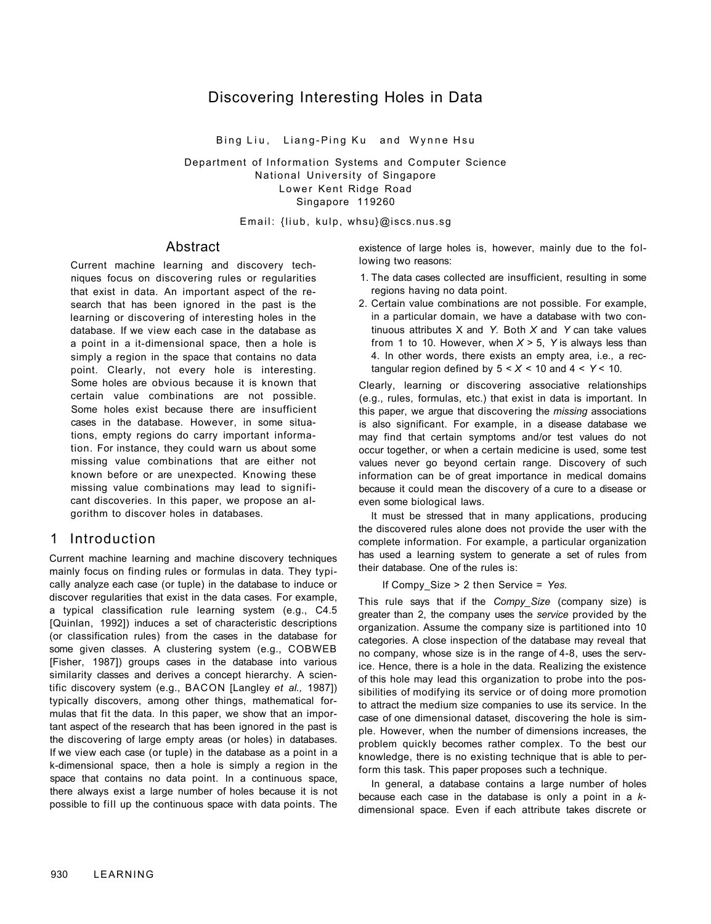# Discovering Interesting Holes in Data

Bing Liu, Liang-Ping Ku and Wynne Hsu

Department of Information Systems and Computer Science National University of Singapore Lower Kent Ridge Road Singapore 119260

Email: {liub, kulp, whsu}@iscs.nus.sg

### Abstract

Current machine learning and discovery techniques focus on discovering rules or regularities that exist in data. An important aspect of the research that has been ignored in the past is the learning or discovering of interesting holes in the database. If we view each case in the database as a point in a it-dimensional space, then a hole is simply a region in the space that contains no data point. Clearly, not every hole is interesting. Some holes are obvious because it is known that certain value combinations are not possible. Some holes exist because there are insufficient cases in the database. However, in some situations, empty regions do carry important information. For instance, they could warn us about some missing value combinations that are either not known before or are unexpected. Knowing these missing value combinations may lead to significant discoveries. In this paper, we propose an algorithm to discover holes in databases.

# 1 Introduction

Current machine learning and machine discovery techniques mainly focus on finding rules or formulas in data. They typically analyze each case (or tuple) in the database to induce or discover regularities that exist in the data cases. For example, a typical classification rule learning system (e.g., C4.5 [Quinlan, 1992]) induces a set of characteristic descriptions (or classification rules) from the cases in the database for some given classes. A clustering system (e.g., COBWEB [Fisher, 1987]) groups cases in the database into various similarity classes and derives a concept hierarchy. A scientific discovery system (e.g., BACON [Langley *et al.,* 1987]) typically discovers, among other things, mathematical formulas that fit the data. In this paper, we show that an important aspect of the research that has been ignored in the past is the discovering of large empty areas (or holes) in databases. If we view each case (or tuple) in the database as a point in a k-dimensional space, then a hole is simply a region in the space that contains no data point. In a continuous space, there always exist a large number of holes because it is not possible to fill up the continuous space with data points. The

existence of large holes is, however, mainly due to the following two reasons:

- 1. The data cases collected are insufficient, resulting in some regions having no data point.
- 2. Certain value combinations are not possible. For example, in a particular domain, we have a database with two continuous attributes X and *Y.* Both *X* and *Y* can take values from 1 to 10. However, when *X >* 5, *Y* is always less than 4. In other words, there exists an empty area, i.e., a rectangular region defined by  $5 < X < 10$  and  $4 < Y < 10$ .

Clearly, learning or discovering associative relationships (e.g., rules, formulas, etc.) that exist in data is important. In this paper, we argue that discovering the *missing* associations is also significant. For example, in a disease database we may find that certain symptoms and/or test values do not occur together, or when a certain medicine is used, some test values never go beyond certain range. Discovery of such information can be of great importance in medical domains because it could mean the discovery of a cure to a disease or even some biological laws.

It must be stressed that in many applications, producing the discovered rules alone does not provide the user with the complete information. For example, a particular organization has used a learning system to generate a set of rules from their database. One of the rules is:

If Compy\_Size > 2 then Service = *Yes.* 

This rule says that if the *Compy\_Size* (company size) is greater than 2, the company uses the *service* provided by the organization. Assume the company size is partitioned into 10 categories. A close inspection of the database may reveal that no company, whose size is in the range of 4-8, uses the service. Hence, there is a hole in the data. Realizing the existence of this hole may lead this organization to probe into the possibilities of modifying its service or of doing more promotion to attract the medium size companies to use its service. In the case of one dimensional dataset, discovering the hole is simple. However, when the number of dimensions increases, the problem quickly becomes rather complex. To the best our knowledge, there is no existing technique that is able to perform this task. This paper proposes such a technique.

In general, a database contains a large number of holes because each case in the database is only a point in a *k*dimensional space. Even if each attribute takes discrete or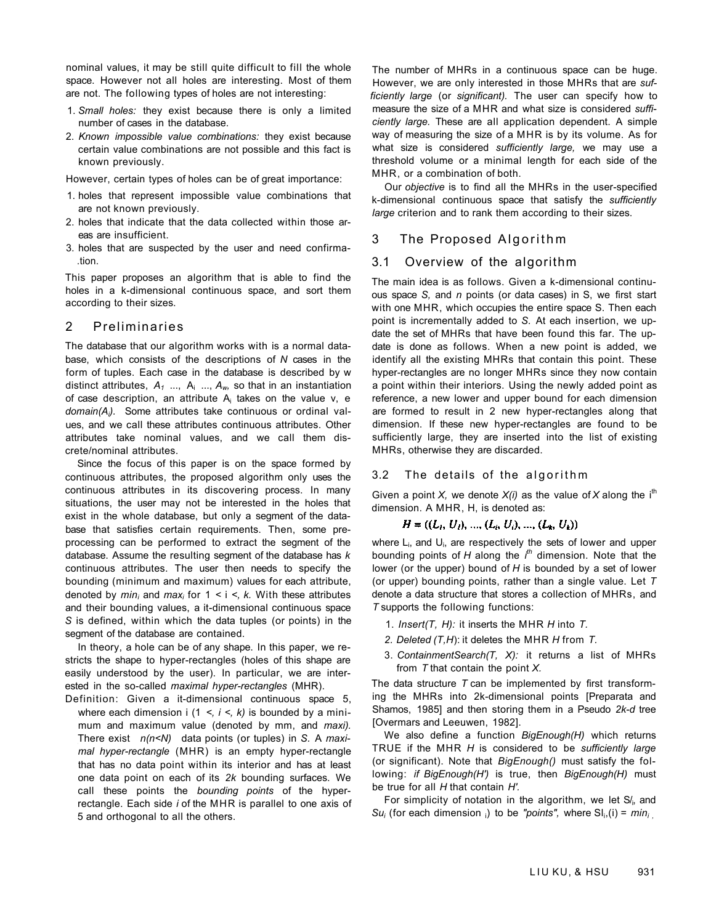nominal values, it may be still quite difficult to fill the whole space. However not all holes are interesting. Most of them are not. The following types of holes are not interesting:

- 1. *Small holes:* they exist because there is only a limited number of cases in the database.
- 2. *Known impossible value combinations:* they exist because certain value combinations are not possible and this fact is known previously.

However, certain types of holes can be of great importance:

- 1. holes that represent impossible value combinations that are not known previously.
- 2. holes that indicate that the data collected within those areas are insufficient.
- 3. holes that are suspected by the user and need confirma- .tion.

This paper proposes an algorithm that is able to find the holes in a k-dimensional continuous space, and sort them according to their sizes.

### 2 Preliminaries

The database that our algorithm works with is a normal database, which consists of the descriptions of *N* cases in the form of tuples. Each case in the database is described by w distinct attributes,  $A_1$  ...,  $A_i$  ...,  $A_w$ , so that in an instantiation of case description, an attribute  $A_i$  takes on the value v, e *domain(Ai).* Some attributes take continuous or ordinal values, and we call these attributes continuous attributes. Other attributes take nominal values, and we call them discrete/nominal attributes.

Since the focus of this paper is on the space formed by continuous attributes, the proposed algorithm only uses the continuous attributes in its discovering process. In many situations, the user may not be interested in the holes that exist in the whole database, but only a segment of the database that satisfies certain requirements. Then, some preprocessing can be performed to extract the segment of the database. Assume the resulting segment of the database has *k*  continuous attributes. The user then needs to specify the bounding (minimum and maximum) values for each attribute, denoted by *mini* and *maxi* for 1 < i *<, k.* With these attributes and their bounding values, a it-dimensional continuous space *S* is defined, within which the data tuples (or points) in the segment of the database are contained.

In theory, a hole can be of any shape. In this paper, we restricts the shape to hyper-rectangles (holes of this shape are easily understood by the user). In particular, we are interested in the so-called *maximal hyper-rectangles* (MHR).

Definition: Given a it-dimensional continuous space 5, where each dimension  $i$  (1 <,  $i$  <,  $k$ ) is bounded by a minimum and maximum value (denoted by mm, and *maxi).*  There exist *n(n<N)* data points (or tuples) in *S.* A *maximal hyper-rectangle* (MHR) is an empty hyper-rectangle that has no data point within its interior and has at least one data point on each of its *2k* bounding surfaces. We call these points the *bounding points* of the hyperrectangle. Each side *i* of the MHR is parallel to one axis of 5 and orthogonal to all the others.

The number of MHRs in a continuous space can be huge. However, we are only interested in those MHRs that are *sufficiently large* (or *significant).* The user can specify how to measure the size of a MHR and what size is considered *sufficiently large.* These are all application dependent. A simple way of measuring the size of a MHR is by its volume. As for what size is considered *sufficiently large,* we may use a threshold volume or a minimal length for each side of the MHR, or a combination of both.

Our *objective* is to find all the MHRs in the user-specified k-dimensional continuous space that satisfy the *sufficiently large* criterion and to rank them according to their sizes.

### 3 The Proposed Algorithm

### 3.1 Overview of the algorithm

The main idea is as follows. Given a k-dimensional continuous space *S,* and *n* points (or data cases) in S, we first start with one MHR, which occupies the entire space S. Then each point is incrementally added to *S.* At each insertion, we update the set of MHRs that have been found this far. The update is done as follows. When a new point is added, we identify all the existing MHRs that contain this point. These hyper-rectangles are no longer MHRs since they now contain a point within their interiors. Using the newly added point as reference, a new lower and upper bound for each dimension are formed to result in 2 new hyper-rectangles along that dimension. If these new hyper-rectangles are found to be sufficiently large, they are inserted into the list of existing MHRs, otherwise they are discarded.

### 3.2 The details of the algorith m

Given a point *X*, we denote  $X(i)$  as the value of *X* along the i<sup>th</sup> dimension. A MHR, H, is denoted as:

### $H = ((L_1, U_1), ..., (L_i, U_i), ..., (L_k, U_k))$

where  $L_i$ , and  $U_i$ , are respectively the sets of lower and upper bounding points of *H* along the *ith* dimension. Note that the lower (or the upper) bound of *H* is bounded by a set of lower (or upper) bounding points, rather than a single value. Let *T*  denote a data structure that stores a collection of MHRs, and *T* supports the following functions:

- 1. *Insert(T, H):* it inserts the MHR *H* into *T.*
- *2. Deleted (T,H*): it deletes the MHR *H* from *T.*
- 3. *ContainmentSearch(T, X):* it returns a list of MHRs from *T* that contain the point *X.*

The data structure *T* can be implemented by first transforming the MHRs into 2k-dimensional points [Preparata and Shamos, 1985] and then storing them in a Pseudo *2k-d* tree [Overmars and Leeuwen, 1982].

We also define a function *BigEnough(H)* which returns TRUE if the MHR *H* is considered to be *sufficiently large*  (or significant). Note that *BigEnough()* must satisfy the following: *if BigEnough(H')* is true, then *BigEnough(H)* must be true for all *H* that contain *H'.* 

For simplicity of notation in the algorithm, we let S/<sub>i</sub>, and *Su<sub>i</sub>* (for each dimension i) to be "points", where  $Sl<sub>i</sub>(i) = min<sub>i</sub>$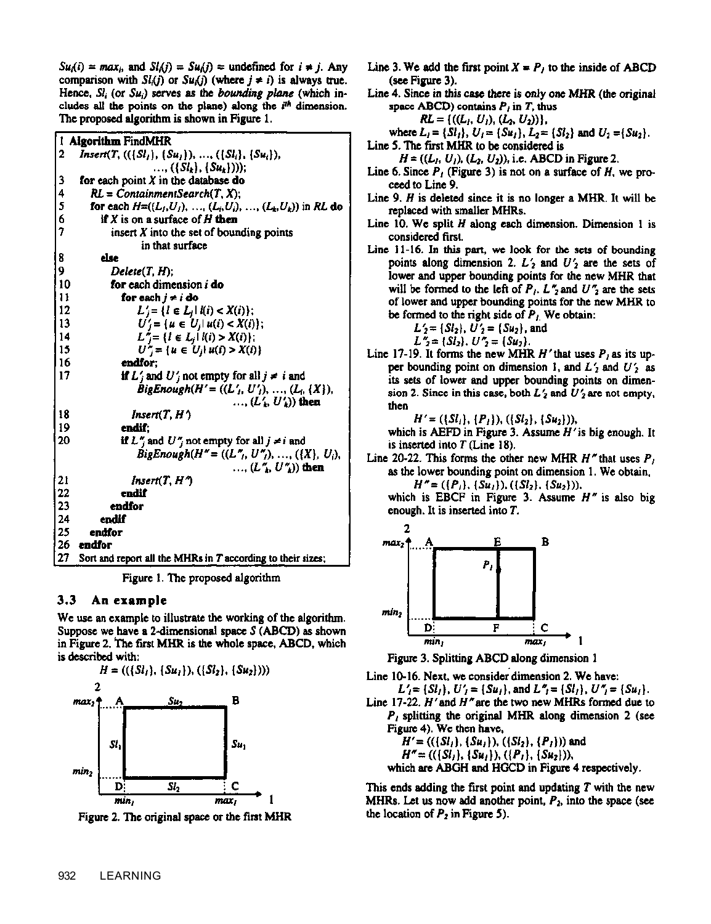$Su_i(i) = max_i$ , and  $Sl_i(i) = Su_i(i) =$  undefined for  $i \neq j$ . Any comparison with  $Sl_i(j)$  or  $Su_i(j)$  (where  $j \neq i$ ) is always true. Hence,  $Sl_i$  (or  $Su_i$ ) serves as the *bounding plane* (which includes all the points on the plane) along the  $i<sup>th</sup>$  dimension. The proposed algorithm is shown in Figure 1.

|    | 1 Algorithm FindMHR                                                      |  |  |  |  |  |
|----|--------------------------------------------------------------------------|--|--|--|--|--|
| 2  | $Insert(T, ((\{Sl_1\}, \{Su_1\}), , (\{Sl_i\}, \{Su_i\}),$               |  |  |  |  |  |
|    | , $(\{Sl_k\}, \{Su_k\})$ );                                              |  |  |  |  |  |
| 3  | for each point $X$ in the database do                                    |  |  |  |  |  |
| 4  | $RL = ContinmentSearch(T, X);$                                           |  |  |  |  |  |
| 5  | for each $H=(L_1, U_1), \ldots, (L_i, U_i), \ldots, (L_k, U_k)$ in RL do |  |  |  |  |  |
| 6  | if $X$ is on a surface of $H$ then                                       |  |  |  |  |  |
| 7  | insert $X$ into the set of bounding points                               |  |  |  |  |  |
|    | in that surface                                                          |  |  |  |  |  |
| 8  | else                                                                     |  |  |  |  |  |
| 9  | Delete(T, H);                                                            |  |  |  |  |  |
| 10 | for each dimension <i>i</i> do                                           |  |  |  |  |  |
| 11 | for each $j \neq i$ do                                                   |  |  |  |  |  |
| 12 | $L'_i = \{l \in L_i   l(i) < X(i)\};$                                    |  |  |  |  |  |
| 13 | $U'_i = \{u \in U_i   u(i) < X(i)\};$                                    |  |  |  |  |  |
| 14 | $L^* = \{l \in L_j   l(i) > X(i)\};$                                     |  |  |  |  |  |
| 15 | $U''_i = \{u \in U_i   u(i) > X(i)\}\$                                   |  |  |  |  |  |
| 16 | endfor:                                                                  |  |  |  |  |  |
| 17 | if $L'_j$ and $U'_j$ not empty for all $j \neq i$ and                    |  |  |  |  |  |
|    | BigEnough(H' = $((L'_1, U'_1), , (L_i, \{X\}),$                          |  |  |  |  |  |
|    | $\dots$ (L' $\ldots$ U')) then                                           |  |  |  |  |  |
| 18 | Insert(T, H')                                                            |  |  |  |  |  |
| 19 | endif:                                                                   |  |  |  |  |  |
| 20 | if $L''_j$ and $U''_j$ not empty for all $j \neq i$ and                  |  |  |  |  |  |
|    | $BigEnough(H'' = ((L'', U''), , ((X), U_i),$                             |  |  |  |  |  |
|    | , $(L''_1, U''_4)$ then                                                  |  |  |  |  |  |
| 21 | Insert $(T, H^{\prime})$                                                 |  |  |  |  |  |
| 22 | endif                                                                    |  |  |  |  |  |
| 23 | endfor                                                                   |  |  |  |  |  |
| 24 | endif                                                                    |  |  |  |  |  |
| 25 | endfor                                                                   |  |  |  |  |  |
| 26 | endfor                                                                   |  |  |  |  |  |
| 27 | Sort and report all the MHRs in $T$ according to their sizes;            |  |  |  |  |  |

Figure 1. The proposed algorithm

#### $3.3<sub>1</sub>$ An example

We use an example to illustrate the working of the algorithm. Suppose we have a 2-dimensional space  $S(ABCD)$  as shown in Figure 2. The first MHR is the whole space, ABCD, which is described with:



Figure 2. The original space or the first MHR

Line 3. We add the first point  $X = P_i$  to the inside of ABCD (see Figure 3).

Line 4. Since in this case there is only one MHR (the original space ABCD) contains  $P_i$  in T, thus

$$
RL = \{((L_1, U_1), (L_2, U_2))\},\
$$

where  $L_1 = \{S_l\}$ ,  $U_1 = \{Su_1\}$ ,  $L_2 = \{S_l\}$  and  $U_2 = \{Su_2\}$ .

Line 5. The first MHR to be considered is

 $H = ((L_1, U_1), (L_2, U_2))$ , i.e. ABCD in Figure 2.

- Line 6. Since  $P_i$  (Figure 3) is not on a surface of H, we proceed to Line 9.
- Line 9.  $H$  is deleted since it is no longer a MHR. It will be replaced with smaller MHRs.
- Line 10. We split  $H$  along each dimension. Dimension 1 is considered first.
- Line 11-16. In this part, we look for the sets of bounding points along dimension 2.  $L'_2$  and  $U'_2$  are the sets of lower and upper bounding points for the new MHR that will be formed to the left of  $P_1$ .  $L''_2$  and  $U''_3$  are the sets of lower and upper bounding points for the new MHR to be formed to the right side of  $P_L$ . We obtain:

$$
L'_2 = \{Sl_2\}, U'_2 = \{Su_2\}, \text{and}
$$

$$
L''_2 = \{Sl_2\}, U''_2 = \{Su_2\}.
$$

Line 17-19. It forms the new MHR  $H'$  that uses  $P<sub>1</sub>$  as its upper bounding point on dimension 1, and  $L'_2$  and  $U'_2$  as its sets of lower and upper bounding points on dimension 2. Since in this case, both  $L'_2$  and  $U'_2$  are not empty, then

 $H' = (\{Sl_1\}, \{P_1\}), (\{Sl_2\}, \{Su_2\}),$ 

which is AEFD in Figure 3. Assume  $H'$  is big enough. It is inserted into  $T$  (Line 18).

Line 20-22. This forms the other new MHR  $H''$  that uses  $P<sub>i</sub>$ as the lower bounding point on dimension 1. We obtain,  $H'' = (\{P_1\}, \{Su_1\}), (\{Sl_2\}, \{Su_2\})),$ 

which is EBCF in Figure 3. Assume  $H''$  is also big enough. It is inserted into T.



Figure 3. Splitting ABCD along dimension 1

Line 10-16. Next, we consider dimension 2. We have:

 $L'_1 = \{S_l\}, U'_2 = \{Su_l\}, \text{and } L''_1 = \{S_l\}, U''_2 = \{Su_l\}.$ Line 17-22.  $H'$  and  $H''$  are the two new MHRs formed due to

$$
P_1
$$
 splitting the original MHK along dimension 2 (see  
Figure 4). We then have,  
 $U = U(S1) + (S_1)Y + (S_1)Y + (S_2)Y$  and

$$
H' = ((\{Sl1\}, \{Su1\}), (\{Sl2\}, \{P1\}))
$$
 and  

$$
H'' = ((\{Sl1\}, \{Su1\}), (\{P1\}, \{Su2\}))
$$
,  
which are ABGH and HGCD in Figure 4 respectively.

This ends adding the first point and updating  $T$  with the new MHRs. Let us now add another point,  $P_2$ , into the space (see the location of  $P_2$  in Figure 5).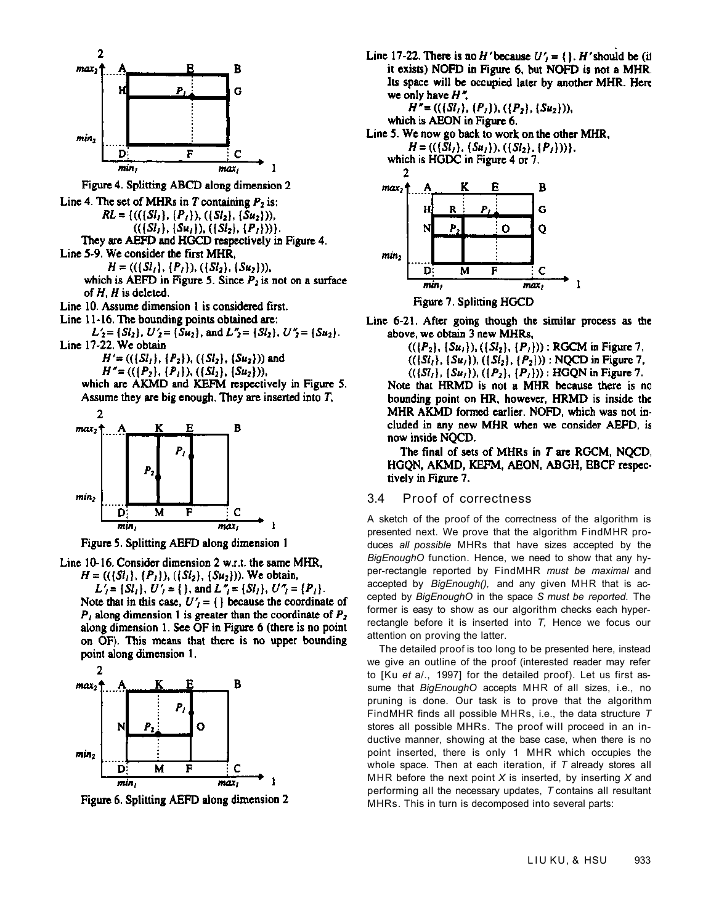

Figure 4. Splitting ABCD along dimension 2 Line 4. The set of MHRs in  $T$  containing  $P_2$  is:  $RL = \{((\{Sl_1\}, \{P_1\}), (\{Sl_2\}, \{Su_2\})),$  $((\{Sl_1\}, \{Su_1\}), (\{Sl_2\}, \{P_1\}))).$ They are AEFD and HGCD respectively in Figure 4. Line 5-9. We consider the first MHR,  $H = ((\{Sl_1\}, \{P_1\}), (\{Sl_2\}, \{Su_2\})),$ 

which is AEFD in Figure 5. Since  $P_2$  is not on a surface of  $H$ .  $H$  is deleted.

Line 10. Assume dimension 1 is considered first.

Line 11-16. The bounding points obtained are:

 $L'_2 = \{S_l\}, U'_2 = \{Su_2\}, \text{ and } L''_2 = \{Sl_2\}, U''_2 = \{Su_2\}.$ Line 17-22. We obtain

$$
H' = ((\{Sl_1\}, \{P_2\}), (\{Sl_2\}, \{Su_2\})) \text{ and } H'' = ((\{P_2\}, \{P_1\}), (\{Sl_2\}, \{Su_2\})),
$$

which are AKMD and KEFM respectively in Figure 5. Assume they are big enough. They are inserted into  $T$ ,



Figure 5. Splitting AEFD along dimension 1

Line 10-16. Consider dimension 2 w.r.t. the same MHR,

 $H = ((\{S_l\}, \{P_l\}), (\{S_l\}, \{S u_2\}))$ . We obtain,  $L'_i = \{S l_i\}, U'_j = \{\}, \text{ and } L''_j = \{S l_i\}, U''_j = \{P_i\}.$ Note that in this case,  $U'_1 = \{\}$  because the coordinate of  $P_1$  along dimension 1 is greater than the coordinate of  $P_2$ along dimension 1. See OF in Figure 6 (there is no point on OF). This means that there is no upper bounding point along dimension 1.



Figure 6. Splitting AEFD along dimension 2

Line 17-22. There is no H'because  $U'_{1} = \{\}$ . H'should be (if it exists) NOFD in Figure 6, but NOFD is not a MHR. Its space will be occupied later by another MHR. Here we only have  $H^*$ .

 $H'' = ((\{Sl_1\}, \{P_1\}), (\{P_2\}, \{Su_2\})),$ 

which is AEON in Figure 6.

Line 5. We now go back to work on the other MHR.

 $H = ((\{S_l\}, \{S_{u_1}\}), (\{S_l\}, \{P_l\}))\},$ 

which is HGDC in Figure 4 or 7.



Line 6-21. After going though the similar process as the above, we obtain 3 new MHRs,

 $((P_2), \{Su_1\}, ((Sl_2), \{P_1\}))$ : RGCM in Figure 7.

 $((\{St_1\}, \{Su_1\}), (\{St_2\}, \{P_2\}))$ : NQCD in Figure 7.

 $((\{Sl_1\}, \{Su_1\}), (\{P_2\}, \{P_1\}))$ : HGQN in Figure 7. Note that HRMD is not a MHR because there is no bounding point on HR, however, HRMD is inside the MHR AKMD formed earlier. NOFD, which was not included in any new MHR when we consider AEFD, is now inside NOCD.

The final of sets of MHRs in T are RGCM, NQCD, HGQN, AKMD, KEFM, AEON, ABGH, EBCF respectively in Figure 7.

#### $3.4$ Proof of correctness

A sketch of the proof of the correctness of the algorithm is presented next. We prove that the algorithm FindMHR produces all possible MHRs that have sizes accepted by the BigEnoughO function. Hence, we need to show that any hyper-rectangle reported by FindMHR must be maximal and accepted by BigEnough(), and any given MHR that is accepted by BigEnoughO in the space S must be reported. The former is easy to show as our algorithm checks each hyperrectangle before it is inserted into  $T$ , Hence we focus our attention on proving the latter.

The detailed proof is too long to be presented here, instead we give an outline of the proof (interested reader may refer to [Ku et a/., 1997] for the detailed proof). Let us first assume that BigEnoughO accepts MHR of all sizes, i.e., no pruning is done. Our task is to prove that the algorithm FindMHR finds all possible MHRs, i.e., the data structure T stores all possible MHRs. The proof will proceed in an inductive manner, showing at the base case, when there is no point inserted, there is only 1 MHR which occupies the whole space. Then at each iteration, if  $T$  already stores all MHR before the next point  $X$  is inserted, by inserting  $X$  and performing all the necessary updates,  $T$  contains all resultant MHRs. This in turn is decomposed into several parts: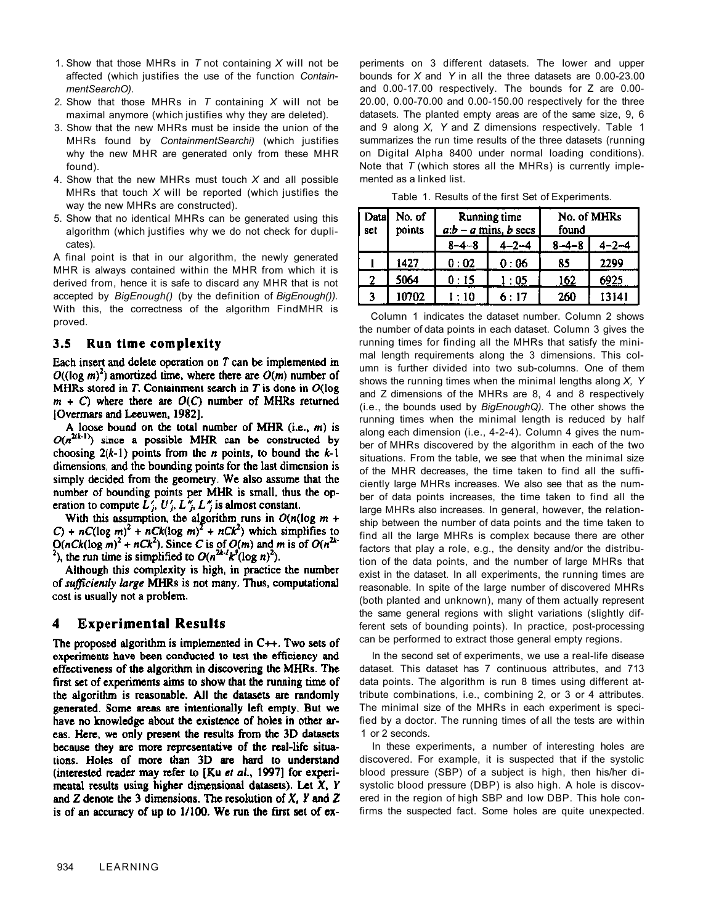- 1. Show that those MHRs in *T* not containing *X* will not be affected (which justifies the use of the function *ContainmentSearchO).*
- *2.* Show that those MHRs in *T* containing *X* will not be maximal anymore (which justifies why they are deleted).
- 3. Show that the new MHRs must be inside the union of the MHRs found by *ContainmentSearchi)* (which justifies why the new MHR are generated only from these MHR found).
- 4. Show that the new MHRs must touch *X* and all possible MHRs that touch *X* will be reported (which justifies the way the new MHRs are constructed).
- 5. Show that no identical MHRs can be generated using this algorithm (which justifies why we do not check for duplicates).

A final point is that in our algorithm, the newly generated MHR is always contained within the MHR from which it is derived from, hence it is safe to discard any MHR that is not accepted by *BigEnough()* (by the definition of *BigEnough()).*  With this, the correctness of the algorithm FindMHR is proved.

#### $3.5$ Run time complexity

Each insert and delete operation on  $T$  can be implemented in  $O((\log m)^2)$  amortized time, where there are  $O(m)$  number of MHRs stored in T. Containment search in T is done in  $O(\log$  $m + C$ ) where there are  $O(C)$  number of MHRs returned [Overmars and Leeuwen, 1982].

A loose bound on the total number of MHR (i.e., m) is  $O(n^{2(k-1)})$  since a possible MHR can be constructed by choosing  $2(k-1)$  points from the *n* points, to bound the  $k-1$ dimensions, and the bounding points for the last dimension is simply decided from the geometry. We also assume that the number of bounding points per MHR is small, thus the operation to compute  $L'_i$ ,  $U'_j$ ,  $L''_j$ ,  $L''_j$  is almost constant.

With this assumption, the algorithm runs in  $O(n(\log m +$ C) +  $nC(\log m)^2$  +  $nCk(\log m)^2$  +  $nCk^2$ ) which simplifies to  $O(nCk(\log m)^2 + nCk^2)$ . Since C is of  $O(m)$  and m is of  $O(n^{2k})$ <sup>2</sup>), the run time is simplified to  $O(n^{2k-l}k^3(\log n)^2)$ .

Although this complexity is high, in practice the number of sufficiently large MHRs is not many. Thus, computational cost is usually not a problem.

#### **Experimental Results** 4

The proposed algorithm is implemented in  $C++$ . Two sets of experiments have been conducted to test the efficiency and effectiveness of the algorithm in discovering the MHRs. The first set of experiments aims to show that the running time of the algorithm is reasonable. All the datasets are randomly generated. Some areas are intentionally left empty. But we have no knowledge about the existence of holes in other arcas. Here, we only present the results from the 3D datasets because they are more representative of the real-life situations. Holes of more than 3D are hard to understand (interested reader may refer to [Ku et al., 1997] for experimental results using higher dimensional datasets). Let  $X$ ,  $Y$ and Z denote the 3 dimensions. The resolution of  $X$ ,  $Y$  and  $Z$ is of an accuracy of up to 1/100. We run the first set of experiments on 3 different datasets. The lower and upper bounds for *X* and *Y* in all the three datasets are 0.00-23.00 and 0.00-17.00 respectively. The bounds for Z are 0.00- 20.00, 0.00-70.00 and 0.00-150.00 respectively for the three datasets. The planted empty areas are of the same size, 9, 6 and 9 along *X, Y* and Z dimensions respectively. Table 1 summarizes the run time results of the three datasets (running on Digital Alpha 8400 under normal loading conditions). Note that *T* (which stores all the MHRs) is currently implemented as a linked list.

Table 1. Results of the first Set of Experiments.

| Datal<br>set | No. of<br>points | Running time<br>$a:b-a$ mins, b secs |            | found       | No. of MHRs |
|--------------|------------------|--------------------------------------|------------|-------------|-------------|
|              |                  | $8 - 4 - 8$                          | 4-2-4      | $8 - 4 - 8$ | $4 - 2 - 4$ |
|              | 1427             | 0:02                                 | 0:06       | 85          | 2299        |
| 2            | 5064             | 0:15                                 | $\cdot$ 05 | 162         | 6925        |
| 3            | 10702            | - 10                                 | 6:17       | 260         | 13141       |

Column 1 indicates the dataset number. Column 2 shows the number of data points in each dataset. Column 3 gives the running times for finding all the MHRs that satisfy the minimal length requirements along the 3 dimensions. This column is further divided into two sub-columns. One of them shows the running times when the minimal lengths along *X, Y*  and Z dimensions of the MHRs are 8, 4 and 8 respectively (i.e., the bounds used by *BigEnoughQ).* The other shows the running times when the minimal length is reduced by half along each dimension (i.e., 4-2-4). Column 4 gives the number of MHRs discovered by the algorithm in each of the two situations. From the table, we see that when the minimal size of the MHR decreases, the time taken to find all the sufficiently large MHRs increases. We also see that as the number of data points increases, the time taken to find all the large MHRs also increases. In general, however, the relationship between the number of data points and the time taken to find all the large MHRs is complex because there are other factors that play a role, e.g., the density and/or the distribution of the data points, and the number of large MHRs that exist in the dataset. In all experiments, the running times are reasonable. In spite of the large number of discovered MHRs (both planted and unknown), many of them actually represent the same general regions with slight variations (slightly different sets of bounding points). In practice, post-processing can be performed to extract those general empty regions.

In the second set of experiments, we use a real-life disease dataset. This dataset has 7 continuous attributes, and 713 data points. The algorithm is run 8 times using different attribute combinations, i.e., combining 2, or 3 or 4 attributes. The minimal size of the MHRs in each experiment is specified by a doctor. The running times of all the tests are within 1 or 2 seconds.

In these experiments, a number of interesting holes are discovered. For example, it is suspected that if the systolic blood pressure (SBP) of a subject is high, then his/her disystolic blood pressure (DBP) is also high. A hole is discovered in the region of high SBP and low DBP. This hole confirms the suspected fact. Some holes are quite unexpected.